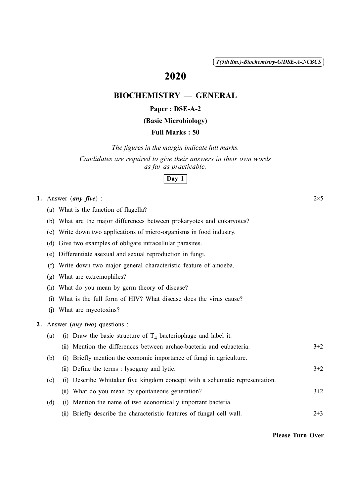( 1 ) *T(5th Sm.)-Biochemistry-G*/*DSE-A-2*/*CBCS*

# 2020

# BIOCHEMISTRY — GENERAL

## Paper : DSE-A-2

### (Basic Microbiology)

## Full Marks : 50

*The figures in the margin indicate full marks. Candidates are required to give their answers in their own words as far as practicable.*

### Day 1

#### 1. Answer (*any five*) :  $2 \times 5$

(a) What is the function of flagella?

- (b) What are the major differences between prokaryotes and eukaryotes?
- (c) Write down two applications of micro-organisms in food industry.
- (d) Give two examples of obligate intracellular parasites.
- (e) Differentiate asexual and sexual reproduction in fungi.
- (f) Write down two major general characteristic feature of amoeba.
- (g) What are extremophiles?
- (h) What do you mean by germ theory of disease?
- (i) What is the full form of HIV? What disease does the virus cause?
- (j) What are mycotoxins?

### 2. Answer (*any two*) questions :

# (a) (i) Draw the basic structure of  $T_4$  bacteriophage and label it. (ii) Mention the differences between archae-bacteria and eubacteria.  $3+2$

- (b) (i) Briefly mention the economic importance of fungi in agriculture.
	- (ii) Define the terms : lysogeny and lytic.  $3+2$
- (c) (i) Describe Whittaker five kingdom concept with a schematic representation. (ii) What do you mean by spontaneous generation?  $3+2$
- (d) (i) Mention the name of two economically important bacteria. (ii) Briefly describe the characteristic features of fungal cell wall. 2+3

#### Please Turn Over